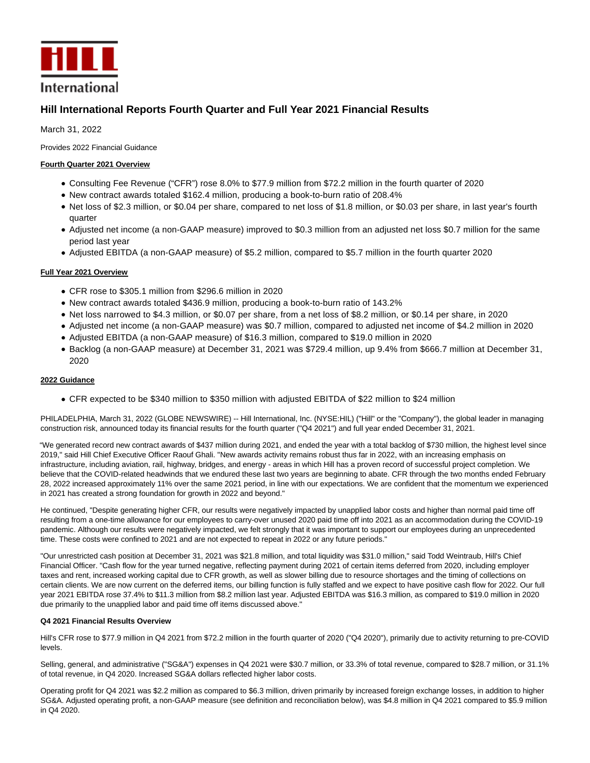

# **Hill International Reports Fourth Quarter and Full Year 2021 Financial Results**

March 31, 2022

Provides 2022 Financial Guidance

# **Fourth Quarter 2021 Overview**

- Consulting Fee Revenue ("CFR") rose 8.0% to \$77.9 million from \$72.2 million in the fourth quarter of 2020
- New contract awards totaled \$162.4 million, producing a book-to-burn ratio of 208.4%
- Net loss of \$2.3 million, or \$0.04 per share, compared to net loss of \$1.8 million, or \$0.03 per share, in last year's fourth quarter
- Adjusted net income (a non-GAAP measure) improved to \$0.3 million from an adjusted net loss \$0.7 million for the same period last year
- Adjusted EBITDA (a non-GAAP measure) of \$5.2 million, compared to \$5.7 million in the fourth quarter 2020

# **Full Year 2021 Overview**

- CFR rose to \$305.1 million from \$296.6 million in 2020
- New contract awards totaled \$436.9 million, producing a book-to-burn ratio of 143.2%
- Net loss narrowed to \$4.3 million, or \$0.07 per share, from a net loss of \$8.2 million, or \$0.14 per share, in 2020
- Adjusted net income (a non-GAAP measure) was \$0.7 million, compared to adjusted net income of \$4.2 million in 2020
- Adjusted EBITDA (a non-GAAP measure) of \$16.3 million, compared to \$19.0 million in 2020
- Backlog (a non-GAAP measure) at December 31, 2021 was \$729.4 million, up 9.4% from \$666.7 million at December 31, 2020

# **2022 Guidance**

CFR expected to be \$340 million to \$350 million with adjusted EBITDA of \$22 million to \$24 million

PHILADELPHIA, March 31, 2022 (GLOBE NEWSWIRE) -- Hill International, Inc. (NYSE:HIL) ("Hill" or the "Company"), the global leader in managing construction risk, announced today its financial results for the fourth quarter ("Q4 2021") and full year ended December 31, 2021.

"We generated record new contract awards of \$437 million during 2021, and ended the year with a total backlog of \$730 million, the highest level since 2019," said Hill Chief Executive Officer Raouf Ghali. "New awards activity remains robust thus far in 2022, with an increasing emphasis on infrastructure, including aviation, rail, highway, bridges, and energy - areas in which Hill has a proven record of successful project completion. We believe that the COVID-related headwinds that we endured these last two years are beginning to abate. CFR through the two months ended February 28, 2022 increased approximately 11% over the same 2021 period, in line with our expectations. We are confident that the momentum we experienced in 2021 has created a strong foundation for growth in 2022 and beyond."

He continued, "Despite generating higher CFR, our results were negatively impacted by unapplied labor costs and higher than normal paid time off resulting from a one-time allowance for our employees to carry-over unused 2020 paid time off into 2021 as an accommodation during the COVID-19 pandemic. Although our results were negatively impacted, we felt strongly that it was important to support our employees during an unprecedented time. These costs were confined to 2021 and are not expected to repeat in 2022 or any future periods."

"Our unrestricted cash position at December 31, 2021 was \$21.8 million, and total liquidity was \$31.0 million," said Todd Weintraub, Hill's Chief Financial Officer. "Cash flow for the year turned negative, reflecting payment during 2021 of certain items deferred from 2020, including employer taxes and rent, increased working capital due to CFR growth, as well as slower billing due to resource shortages and the timing of collections on certain clients. We are now current on the deferred items, our billing function is fully staffed and we expect to have positive cash flow for 2022. Our full year 2021 EBITDA rose 37.4% to \$11.3 million from \$8.2 million last year. Adjusted EBITDA was \$16.3 million, as compared to \$19.0 million in 2020 due primarily to the unapplied labor and paid time off items discussed above."

# **Q4 2021 Financial Results Overview**

Hill's CFR rose to \$77.9 million in Q4 2021 from \$72.2 million in the fourth quarter of 2020 ("Q4 2020"), primarily due to activity returning to pre-COVID levels.

Selling, general, and administrative ("SG&A") expenses in Q4 2021 were \$30.7 million, or 33.3% of total revenue, compared to \$28.7 million, or 31.1% of total revenue, in Q4 2020. Increased SG&A dollars reflected higher labor costs.

Operating profit for Q4 2021 was \$2.2 million as compared to \$6.3 million, driven primarily by increased foreign exchange losses, in addition to higher SG&A. Adjusted operating profit, a non-GAAP measure (see definition and reconciliation below), was \$4.8 million in Q4 2021 compared to \$5.9 million in Q4 2020.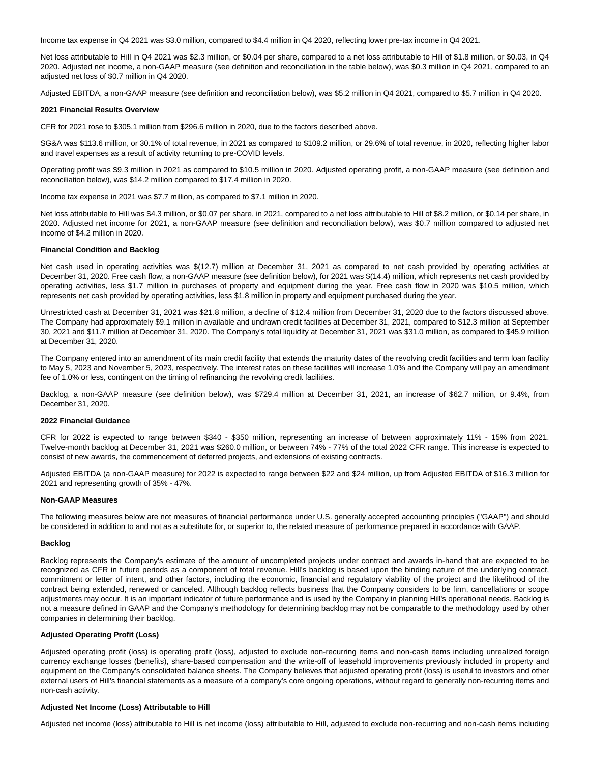Income tax expense in Q4 2021 was \$3.0 million, compared to \$4.4 million in Q4 2020, reflecting lower pre-tax income in Q4 2021.

Net loss attributable to Hill in Q4 2021 was \$2.3 million, or \$0.04 per share, compared to a net loss attributable to Hill of \$1.8 million, or \$0.03, in Q4 2020. Adjusted net income, a non-GAAP measure (see definition and reconciliation in the table below), was \$0.3 million in Q4 2021, compared to an adjusted net loss of \$0.7 million in Q4 2020.

Adjusted EBITDA, a non-GAAP measure (see definition and reconciliation below), was \$5.2 million in Q4 2021, compared to \$5.7 million in Q4 2020.

#### **2021 Financial Results Overview**

CFR for 2021 rose to \$305.1 million from \$296.6 million in 2020, due to the factors described above.

SG&A was \$113.6 million, or 30.1% of total revenue, in 2021 as compared to \$109.2 million, or 29.6% of total revenue, in 2020, reflecting higher labor and travel expenses as a result of activity returning to pre-COVID levels.

Operating profit was \$9.3 million in 2021 as compared to \$10.5 million in 2020. Adjusted operating profit, a non-GAAP measure (see definition and reconciliation below), was \$14.2 million compared to \$17.4 million in 2020.

Income tax expense in 2021 was \$7.7 million, as compared to \$7.1 million in 2020.

Net loss attributable to Hill was \$4.3 million, or \$0.07 per share, in 2021, compared to a net loss attributable to Hill of \$8.2 million, or \$0.14 per share, in 2020. Adjusted net income for 2021, a non-GAAP measure (see definition and reconciliation below), was \$0.7 million compared to adjusted net income of \$4.2 million in 2020.

#### **Financial Condition and Backlog**

Net cash used in operating activities was \$(12.7) million at December 31, 2021 as compared to net cash provided by operating activities at December 31, 2020. Free cash flow, a non-GAAP measure (see definition below), for 2021 was \$(14.4) million, which represents net cash provided by operating activities, less \$1.7 million in purchases of property and equipment during the year. Free cash flow in 2020 was \$10.5 million, which represents net cash provided by operating activities, less \$1.8 million in property and equipment purchased during the year.

Unrestricted cash at December 31, 2021 was \$21.8 million, a decline of \$12.4 million from December 31, 2020 due to the factors discussed above. The Company had approximately \$9.1 million in available and undrawn credit facilities at December 31, 2021, compared to \$12.3 million at September 30, 2021 and \$11.7 million at December 31, 2020. The Company's total liquidity at December 31, 2021 was \$31.0 million, as compared to \$45.9 million at December 31, 2020.

The Company entered into an amendment of its main credit facility that extends the maturity dates of the revolving credit facilities and term loan facility to May 5, 2023 and November 5, 2023, respectively. The interest rates on these facilities will increase 1.0% and the Company will pay an amendment fee of 1.0% or less, contingent on the timing of refinancing the revolving credit facilities.

Backlog, a non-GAAP measure (see definition below), was \$729.4 million at December 31, 2021, an increase of \$62.7 million, or 9.4%, from December 31, 2020.

#### **2022 Financial Guidance**

CFR for 2022 is expected to range between \$340 - \$350 million, representing an increase of between approximately 11% - 15% from 2021. Twelve-month backlog at December 31, 2021 was \$260.0 million, or between 74% - 77% of the total 2022 CFR range. This increase is expected to consist of new awards, the commencement of deferred projects, and extensions of existing contracts.

Adjusted EBITDA (a non-GAAP measure) for 2022 is expected to range between \$22 and \$24 million, up from Adjusted EBITDA of \$16.3 million for 2021 and representing growth of 35% - 47%.

#### **Non-GAAP Measures**

The following measures below are not measures of financial performance under U.S. generally accepted accounting principles ("GAAP") and should be considered in addition to and not as a substitute for, or superior to, the related measure of performance prepared in accordance with GAAP.

#### **Backlog**

Backlog represents the Company's estimate of the amount of uncompleted projects under contract and awards in-hand that are expected to be recognized as CFR in future periods as a component of total revenue. Hill's backlog is based upon the binding nature of the underlying contract, commitment or letter of intent, and other factors, including the economic, financial and regulatory viability of the project and the likelihood of the contract being extended, renewed or canceled. Although backlog reflects business that the Company considers to be firm, cancellations or scope adjustments may occur. It is an important indicator of future performance and is used by the Company in planning Hill's operational needs. Backlog is not a measure defined in GAAP and the Company's methodology for determining backlog may not be comparable to the methodology used by other companies in determining their backlog.

#### **Adjusted Operating Profit (Loss)**

Adjusted operating profit (loss) is operating profit (loss), adjusted to exclude non-recurring items and non-cash items including unrealized foreign currency exchange losses (benefits), share-based compensation and the write-off of leasehold improvements previously included in property and equipment on the Company's consolidated balance sheets. The Company believes that adjusted operating profit (loss) is useful to investors and other external users of Hill's financial statements as a measure of a company's core ongoing operations, without regard to generally non-recurring items and non-cash activity.

#### **Adjusted Net Income (Loss) Attributable to Hill**

Adjusted net income (loss) attributable to Hill is net income (loss) attributable to Hill, adjusted to exclude non-recurring and non-cash items including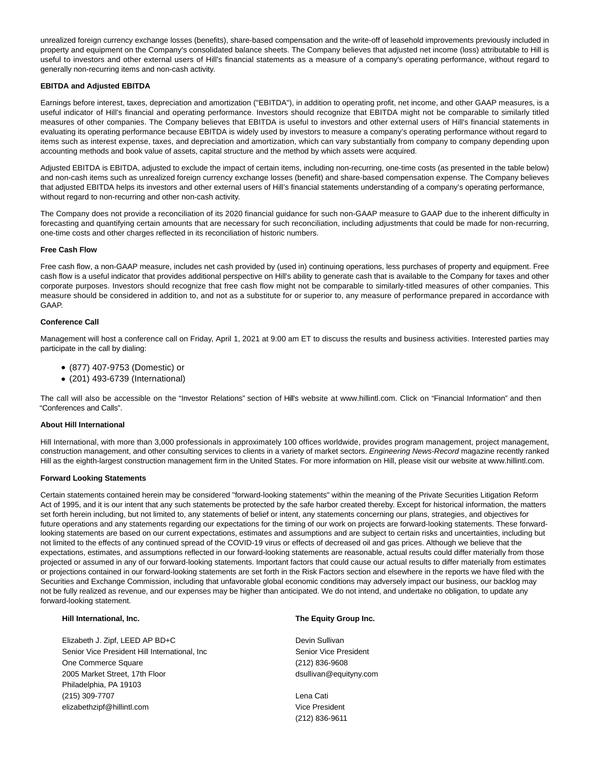unrealized foreign currency exchange losses (benefits), share-based compensation and the write-off of leasehold improvements previously included in property and equipment on the Company's consolidated balance sheets. The Company believes that adjusted net income (loss) attributable to Hill is useful to investors and other external users of Hill's financial statements as a measure of a company's operating performance, without regard to generally non-recurring items and non-cash activity.

#### **EBITDA and Adjusted EBITDA**

Earnings before interest, taxes, depreciation and amortization ("EBITDA"), in addition to operating profit, net income, and other GAAP measures, is a useful indicator of Hill's financial and operating performance. Investors should recognize that EBITDA might not be comparable to similarly titled measures of other companies. The Company believes that EBITDA is useful to investors and other external users of Hill's financial statements in evaluating its operating performance because EBITDA is widely used by investors to measure a company's operating performance without regard to items such as interest expense, taxes, and depreciation and amortization, which can vary substantially from company to company depending upon accounting methods and book value of assets, capital structure and the method by which assets were acquired.

Adjusted EBITDA is EBITDA, adjusted to exclude the impact of certain items, including non-recurring, one-time costs (as presented in the table below) and non-cash items such as unrealized foreign currency exchange losses (benefit) and share-based compensation expense. The Company believes that adjusted EBITDA helps its investors and other external users of Hill's financial statements understanding of a company's operating performance, without regard to non-recurring and other non-cash activity.

The Company does not provide a reconciliation of its 2020 financial guidance for such non-GAAP measure to GAAP due to the inherent difficulty in forecasting and quantifying certain amounts that are necessary for such reconciliation, including adjustments that could be made for non-recurring, one-time costs and other charges reflected in its reconciliation of historic numbers.

#### **Free Cash Flow**

Free cash flow, a non-GAAP measure, includes net cash provided by (used in) continuing operations, less purchases of property and equipment. Free cash flow is a useful indicator that provides additional perspective on Hill's ability to generate cash that is available to the Company for taxes and other corporate purposes. Investors should recognize that free cash flow might not be comparable to similarly-titled measures of other companies. This measure should be considered in addition to, and not as a substitute for or superior to, any measure of performance prepared in accordance with GAAP.

### **Conference Call**

Management will host a conference call on Friday, April 1, 2021 at 9:00 am ET to discuss the results and business activities. Interested parties may participate in the call by dialing:

- (877) 407-9753 (Domestic) or
- (201) 493-6739 (International)

The call will also be accessible on the "Investor Relations" section of Hill's website at www.hillintl.com. Click on "Financial Information" and then "Conferences and Calls".

#### **About Hill International**

Hill International, with more than 3,000 professionals in approximately 100 offices worldwide, provides program management, project management, construction management, and other consulting services to clients in a variety of market sectors. Engineering News-Record magazine recently ranked Hill as the eighth-largest construction management firm in the United States. For more information on Hill, please visit our website at www.hillintl.com.

#### **Forward Looking Statements**

Certain statements contained herein may be considered "forward-looking statements" within the meaning of the Private Securities Litigation Reform Act of 1995, and it is our intent that any such statements be protected by the safe harbor created thereby. Except for historical information, the matters set forth herein including, but not limited to, any statements of belief or intent, any statements concerning our plans, strategies, and objectives for future operations and any statements regarding our expectations for the timing of our work on projects are forward-looking statements. These forwardlooking statements are based on our current expectations, estimates and assumptions and are subject to certain risks and uncertainties, including but not limited to the effects of any continued spread of the COVID-19 virus or effects of decreased oil and gas prices. Although we believe that the expectations, estimates, and assumptions reflected in our forward-looking statements are reasonable, actual results could differ materially from those projected or assumed in any of our forward-looking statements. Important factors that could cause our actual results to differ materially from estimates or projections contained in our forward-looking statements are set forth in the Risk Factors section and elsewhere in the reports we have filed with the Securities and Exchange Commission, including that unfavorable global economic conditions may adversely impact our business, our backlog may not be fully realized as revenue, and our expenses may be higher than anticipated. We do not intend, and undertake no obligation, to update any forward-looking statement.

Elizabeth J. Zipf, LEED AP BD+C Devin Sullivan Senior Vice President Hill International, Inc Senior Vice President One Commerce Square (212) 836-9608 2005 Market Street, 17th Floor dsullivan@equityny.com Philadelphia, PA 19103 (215) 309-7707 Lena Cati elizabethzipf@hillintl.com Vice President

# **Hill International, Inc. The Equity Group Inc.**

(212) 836-9611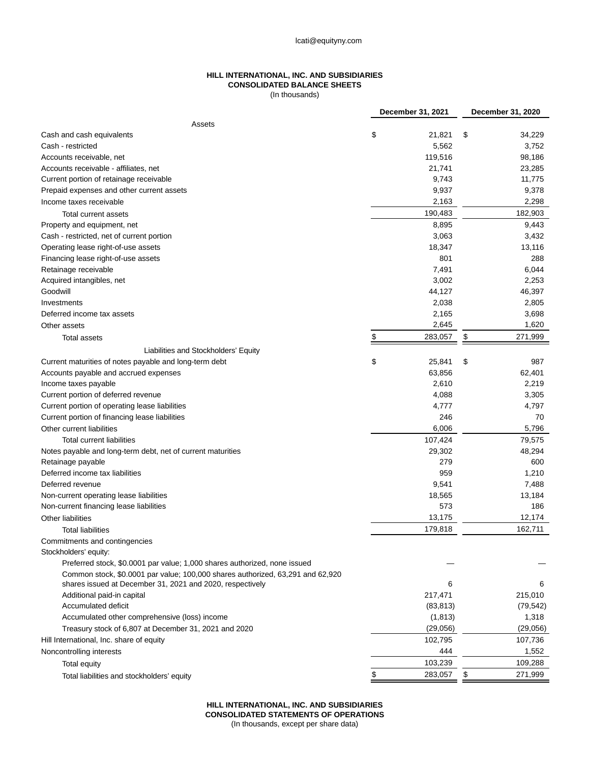# **HILL INTERNATIONAL, INC. AND SUBSIDIARIES CONSOLIDATED BALANCE SHEETS**

(In thousands)

|                                                                                | December 31, 2021 |           | December 31, 2020 |           |
|--------------------------------------------------------------------------------|-------------------|-----------|-------------------|-----------|
| Assets                                                                         |                   |           |                   |           |
| Cash and cash equivalents                                                      | \$                | 21,821    | \$                | 34,229    |
| Cash - restricted                                                              |                   | 5,562     |                   | 3,752     |
| Accounts receivable, net                                                       |                   | 119,516   |                   | 98,186    |
| Accounts receivable - affiliates, net                                          |                   | 21,741    |                   | 23,285    |
| Current portion of retainage receivable                                        |                   | 9,743     |                   | 11,775    |
| Prepaid expenses and other current assets                                      |                   | 9,937     |                   | 9,378     |
| Income taxes receivable                                                        |                   | 2,163     |                   | 2,298     |
| Total current assets                                                           |                   | 190,483   |                   | 182,903   |
| Property and equipment, net                                                    |                   | 8,895     |                   | 9,443     |
| Cash - restricted, net of current portion                                      |                   | 3,063     |                   | 3,432     |
| Operating lease right-of-use assets                                            |                   | 18,347    |                   | 13,116    |
| Financing lease right-of-use assets                                            |                   | 801       |                   | 288       |
| Retainage receivable                                                           |                   | 7,491     |                   | 6,044     |
| Acquired intangibles, net                                                      |                   | 3,002     |                   | 2,253     |
| Goodwill                                                                       |                   | 44,127    |                   | 46,397    |
| Investments                                                                    |                   | 2,038     |                   | 2,805     |
| Deferred income tax assets                                                     |                   | 2,165     |                   | 3,698     |
| Other assets                                                                   |                   | 2,645     |                   | 1,620     |
| <b>Total assets</b>                                                            | \$                | 283,057   | \$                | 271,999   |
| Liabilities and Stockholders' Equity                                           |                   |           |                   |           |
| Current maturities of notes payable and long-term debt                         | \$                | 25,841    | \$                | 987       |
| Accounts payable and accrued expenses                                          |                   | 63,856    |                   | 62,401    |
| Income taxes payable                                                           |                   | 2,610     |                   | 2,219     |
| Current portion of deferred revenue                                            |                   | 4,088     |                   | 3,305     |
| Current portion of operating lease liabilities                                 |                   | 4,777     |                   | 4,797     |
| Current portion of financing lease liabilities                                 |                   | 246       |                   | 70        |
| Other current liabilities                                                      |                   | 6,006     |                   | 5,796     |
| Total current liabilities                                                      |                   | 107,424   |                   | 79,575    |
| Notes payable and long-term debt, net of current maturities                    |                   | 29,302    |                   | 48,294    |
| Retainage payable                                                              |                   | 279       |                   | 600       |
| Deferred income tax liabilities                                                |                   | 959       |                   | 1,210     |
| Deferred revenue                                                               |                   | 9,541     |                   | 7,488     |
| Non-current operating lease liabilities                                        |                   | 18,565    |                   | 13,184    |
| Non-current financing lease liabilities                                        |                   | 573       |                   | 186       |
| <b>Other liabilities</b>                                                       |                   | 13,175    |                   | 12,174    |
| Total liabilities                                                              |                   | 179,818   |                   | 162,711   |
| Commitments and contingencies                                                  |                   |           |                   |           |
| Stockholders' equity:                                                          |                   |           |                   |           |
| Preferred stock, \$0.0001 par value; 1,000 shares authorized, none issued      |                   |           |                   |           |
| Common stock, \$0.0001 par value; 100,000 shares authorized, 63,291 and 62,920 |                   |           |                   |           |
| shares issued at December 31, 2021 and 2020, respectively                      |                   | 6         |                   | 6         |
| Additional paid-in capital                                                     |                   | 217,471   |                   | 215,010   |
| Accumulated deficit                                                            |                   | (83, 813) |                   | (79, 542) |
| Accumulated other comprehensive (loss) income                                  |                   | (1, 813)  |                   | 1,318     |
| Treasury stock of 6,807 at December 31, 2021 and 2020                          |                   | (29, 056) |                   | (29,056)  |
| Hill International, Inc. share of equity                                       |                   | 102,795   |                   | 107,736   |
| Noncontrolling interests                                                       |                   | 444       |                   | 1,552     |
| Total equity                                                                   |                   | 103,239   |                   | 109,288   |
| Total liabilities and stockholders' equity                                     | \$                | 283,057   | \$                | 271,999   |

**HILL INTERNATIONAL, INC. AND SUBSIDIARIES CONSOLIDATED STATEMENTS OF OPERATIONS**

(In thousands, except per share data)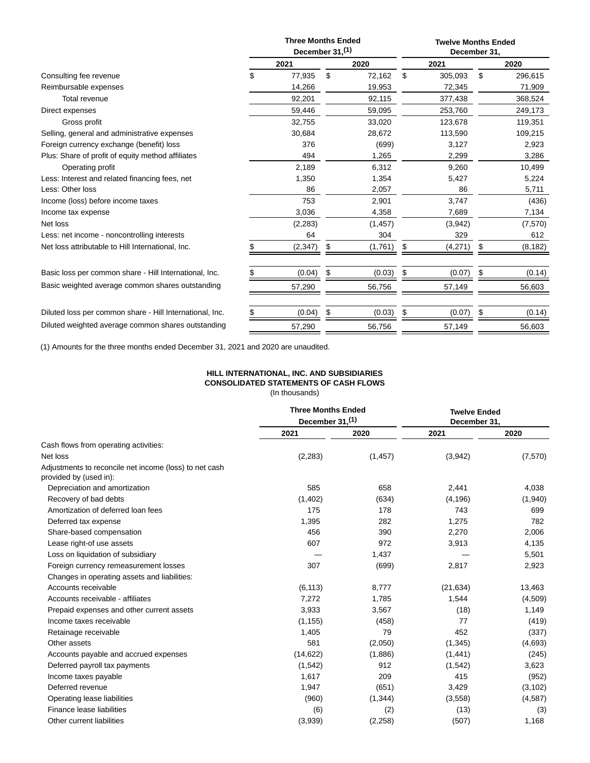|                                                          | <b>Three Months Ended</b><br>December 31, <sup>(1)</sup> |          |     | <b>Twelve Months Ended</b><br>December 31, |    |         |    |          |
|----------------------------------------------------------|----------------------------------------------------------|----------|-----|--------------------------------------------|----|---------|----|----------|
|                                                          |                                                          | 2021     |     | 2020                                       |    | 2021    |    | 2020     |
| Consulting fee revenue                                   | \$                                                       | 77,935   | \$  | 72,162                                     | \$ | 305,093 | \$ | 296,615  |
| Reimbursable expenses                                    |                                                          | 14,266   |     | 19,953                                     |    | 72,345  |    | 71,909   |
| <b>Total revenue</b>                                     |                                                          | 92,201   |     | 92,115                                     |    | 377,438 |    | 368,524  |
| Direct expenses                                          |                                                          | 59,446   |     | 59,095                                     |    | 253,760 |    | 249,173  |
| Gross profit                                             |                                                          | 32,755   |     | 33,020                                     |    | 123,678 |    | 119,351  |
| Selling, general and administrative expenses             |                                                          | 30,684   |     | 28,672                                     |    | 113,590 |    | 109,215  |
| Foreign currency exchange (benefit) loss                 |                                                          | 376      |     | (699)                                      |    | 3,127   |    | 2,923    |
| Plus: Share of profit of equity method affiliates        |                                                          | 494      |     | 1,265                                      |    | 2,299   |    | 3,286    |
| Operating profit                                         |                                                          | 2,189    |     | 6,312                                      |    | 9,260   |    | 10,499   |
| Less: Interest and related financing fees, net           |                                                          | 1,350    |     | 1,354                                      |    | 5,427   |    | 5,224    |
| Less: Other loss                                         |                                                          | 86       |     | 2,057                                      |    | 86      |    | 5,711    |
| Income (loss) before income taxes                        |                                                          | 753      |     | 2,901                                      |    | 3,747   |    | (436)    |
| Income tax expense                                       |                                                          | 3,036    |     | 4,358                                      |    | 7,689   |    | 7,134    |
| Net loss                                                 |                                                          | (2, 283) |     | (1, 457)                                   |    | (3,942) |    | (7,570)  |
| Less: net income - noncontrolling interests              |                                                          | 64       |     | 304                                        |    | 329     |    | 612      |
| Net loss attributable to Hill International, Inc.        |                                                          | (2, 347) | S   | (1,761)                                    | \$ | (4,271) |    | (8, 182) |
| Basic loss per common share - Hill International, Inc.   |                                                          | (0.04)   | \$. | (0.03)                                     | \$ | (0.07)  | S  | (0.14)   |
| Basic weighted average common shares outstanding         |                                                          | 57,290   |     | 56,756                                     |    | 57,149  |    | 56,603   |
| Diluted loss per common share - Hill International, Inc. | \$                                                       | (0.04)   | \$  | (0.03)                                     | \$ | (0.07)  | \$ | (0.14)   |
| Diluted weighted average common shares outstanding       |                                                          | 57,290   |     | 56,756                                     |    | 57,149  |    | 56,603   |

(1) Amounts for the three months ended December 31, 2021 and 2020 are unaudited.

## **HILL INTERNATIONAL, INC. AND SUBSIDIARIES CONSOLIDATED STATEMENTS OF CASH FLOWS**

(In thousands)

|                                                                                  | <b>Three Months Ended</b><br>December $31,^{(1)}$ |          | <b>Twelve Ended</b><br>December 31, |          |  |
|----------------------------------------------------------------------------------|---------------------------------------------------|----------|-------------------------------------|----------|--|
|                                                                                  | 2021                                              | 2020     | 2021                                | 2020     |  |
| Cash flows from operating activities:                                            |                                                   |          |                                     |          |  |
| Net loss                                                                         | (2, 283)                                          | (1, 457) | (3,942)                             | (7,570)  |  |
| Adjustments to reconcile net income (loss) to net cash<br>provided by (used in): |                                                   |          |                                     |          |  |
| Depreciation and amortization                                                    | 585                                               | 658      | 2,441                               | 4,038    |  |
| Recovery of bad debts                                                            | (1,402)                                           | (634)    | (4, 196)                            | (1,940)  |  |
| Amortization of deferred loan fees                                               | 175                                               | 178      | 743                                 | 699      |  |
| Deferred tax expense                                                             | 1,395                                             | 282      | 1,275                               | 782      |  |
| Share-based compensation                                                         | 456                                               | 390      | 2,270                               | 2,006    |  |
| Lease right-of use assets                                                        | 607                                               | 972      | 3,913                               | 4,135    |  |
| Loss on liquidation of subsidiary                                                |                                                   | 1,437    |                                     | 5,501    |  |
| Foreign currency remeasurement losses                                            | 307                                               | (699)    | 2,817                               | 2,923    |  |
| Changes in operating assets and liabilities:                                     |                                                   |          |                                     |          |  |
| Accounts receivable                                                              | (6, 113)                                          | 8,777    | (21, 634)                           | 13,463   |  |
| Accounts receivable - affiliates                                                 | 7,272                                             | 1,785    | 1,544                               | (4,509)  |  |
| Prepaid expenses and other current assets                                        | 3,933                                             | 3,567    | (18)                                | 1,149    |  |
| Income taxes receivable                                                          | (1, 155)                                          | (458)    | 77                                  | (419)    |  |
| Retainage receivable                                                             | 1,405                                             | 79       | 452                                 | (337)    |  |
| Other assets                                                                     | 581                                               | (2,050)  | (1, 345)                            | (4,693)  |  |
| Accounts payable and accrued expenses                                            | (14, 622)                                         | (1,886)  | (1, 441)                            | (245)    |  |
| Deferred payroll tax payments                                                    | (1, 542)                                          | 912      | (1,542)                             | 3,623    |  |
| Income taxes payable                                                             | 1,617                                             | 209      | 415                                 | (952)    |  |
| Deferred revenue                                                                 | 1,947                                             | (651)    | 3,429                               | (3, 102) |  |
| Operating lease liabilities                                                      | (960)                                             | (1, 344) | (3,558)                             | (4,587)  |  |
| Finance lease liabilities                                                        | (6)                                               | (2)      | (13)                                | (3)      |  |
| Other current liabilities                                                        | (3,939)                                           | (2, 258) | (507)                               | 1,168    |  |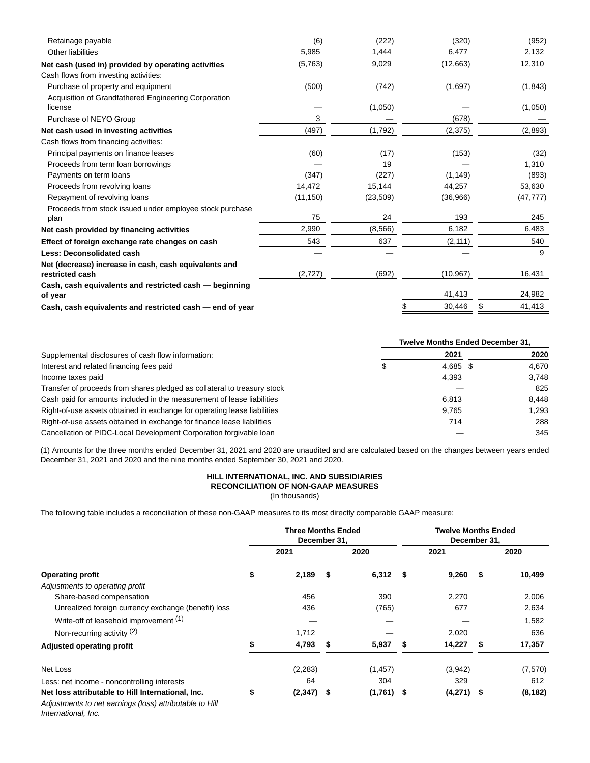| Retainage payable                                                 | (6)       | (222)     | (320)        | (952)        |
|-------------------------------------------------------------------|-----------|-----------|--------------|--------------|
| Other liabilities                                                 | 5,985     | 1,444     | 6,477        | 2,132        |
| Net cash (used in) provided by operating activities               | (5,763)   | 9,029     | (12,663)     | 12,310       |
| Cash flows from investing activities:                             |           |           |              |              |
| Purchase of property and equipment                                | (500)     | (742)     | (1,697)      | (1, 843)     |
| Acquisition of Grandfathered Engineering Corporation              |           |           |              |              |
| license                                                           |           | (1,050)   |              | (1,050)      |
| Purchase of NEYO Group                                            | 3         |           | (678)        |              |
| Net cash used in investing activities                             | (497)     | (1,792)   | (2, 375)     | (2,893)      |
| Cash flows from financing activities:                             |           |           |              |              |
| Principal payments on finance leases                              | (60)      | (17)      | (153)        | (32)         |
| Proceeds from term loan borrowings                                |           | 19        |              | 1,310        |
| Payments on term loans                                            | (347)     | (227)     | (1, 149)     | (893)        |
| Proceeds from revolving loans                                     | 14,472    | 15,144    | 44,257       | 53,630       |
| Repayment of revolving loans                                      | (11, 150) | (23, 509) | (36,966)     | (47, 777)    |
| Proceeds from stock issued under employee stock purchase          |           |           |              |              |
| plan                                                              | 75        | 24        | 193          | 245          |
| Net cash provided by financing activities                         | 2,990     | (8,566)   | 6,182        | 6,483        |
| Effect of foreign exchange rate changes on cash                   | 543       | 637       | (2, 111)     | 540          |
| Less: Deconsolidated cash                                         |           |           |              | 9            |
| Net (decrease) increase in cash, cash equivalents and             |           |           |              |              |
| restricted cash                                                   | (2,727)   | (692)     | (10, 967)    | 16,431       |
| Cash, cash equivalents and restricted cash - beginning<br>of year |           |           | 41,413       | 24,982       |
| Cash, cash equivalents and restricted cash - end of year          |           |           | \$<br>30,446 | \$<br>41,413 |
|                                                                   |           |           |              |              |

|                                                                          | <b>Twelve Months Ended December 31,</b> |          |  |       |  |  |
|--------------------------------------------------------------------------|-----------------------------------------|----------|--|-------|--|--|
| Supplemental disclosures of cash flow information:                       |                                         | 2021     |  | 2020  |  |  |
| Interest and related financing fees paid                                 |                                         | 4.685 \$ |  | 4.670 |  |  |
| Income taxes paid                                                        |                                         | 4,393    |  | 3.748 |  |  |
| Transfer of proceeds from shares pledged as collateral to treasury stock |                                         |          |  | 825   |  |  |
| Cash paid for amounts included in the measurement of lease liabilities   |                                         | 6.813    |  | 8.448 |  |  |
| Right-of-use assets obtained in exchange for operating lease liabilities |                                         | 9.765    |  | 1.293 |  |  |
| Right-of-use assets obtained in exchange for finance lease liabilities   |                                         | 714      |  | 288   |  |  |
| Cancellation of PIDC-Local Development Corporation forgivable loan       |                                         |          |  | 345   |  |  |

(1) Amounts for the three months ended December 31, 2021 and 2020 are unaudited and are calculated based on the changes between years ended December 31, 2021 and 2020 and the nine months ended September 30, 2021 and 2020.

# **HILL INTERNATIONAL, INC. AND SUBSIDIARIES RECONCILIATION OF NON-GAAP MEASURES**

(In thousands)

The following table includes a reconciliation of these non-GAAP measures to its most directly comparable GAAP measure:

|                                                                                                              | <b>Three Months Ended</b><br>December 31, |              |    |          |    | <b>Twelve Months Ended</b><br>December 31, |    |          |  |
|--------------------------------------------------------------------------------------------------------------|-------------------------------------------|--------------|----|----------|----|--------------------------------------------|----|----------|--|
|                                                                                                              |                                           | 2021         |    | 2020     |    | 2021                                       |    | 2020     |  |
| <b>Operating profit</b>                                                                                      | \$                                        | 2,189        | \$ | 6,312    | \$ | 9,260                                      | \$ | 10,499   |  |
| Adjustments to operating profit                                                                              |                                           |              |    |          |    |                                            |    |          |  |
| Share-based compensation                                                                                     |                                           | 456          |    | 390      |    | 2,270                                      |    | 2,006    |  |
| Unrealized foreign currency exchange (benefit) loss                                                          |                                           | 436          |    | (765)    |    | 677                                        |    | 2,634    |  |
| Write-off of leasehold improvement (1)                                                                       |                                           |              |    |          |    |                                            |    | 1,582    |  |
| Non-recurring activity (2)                                                                                   |                                           | 1,712        |    |          |    | 2,020                                      |    | 636      |  |
| <b>Adjusted operating profit</b>                                                                             |                                           | 4,793        |    | 5,937    |    | 14,227                                     |    | 17,357   |  |
| Net Loss                                                                                                     |                                           | (2, 283)     |    | (1, 457) |    | (3,942)                                    |    | (7,570)  |  |
| Less: net income - noncontrolling interests                                                                  |                                           | 64           |    | 304      |    | 329                                        |    | 612      |  |
| Net loss attributable to Hill International, Inc.<br>Adjustments to net earnings (loss) attributable to Hill | \$                                        | $(2,347)$ \$ |    | (1,761)  | \$ | $(4,271)$ \$                               |    | (8, 182) |  |

International, Inc.